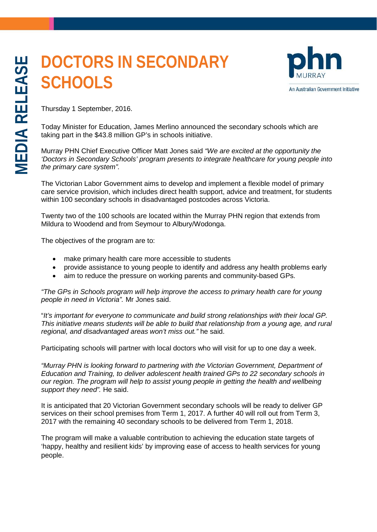## **MEDIA RELASE IN SECONDARY<br>
SCHOOLS**<br>
Thursday 1 September, 2016.<br>
Today Minister for Education, James Merlino announced the s<br>
taking part in the \$43.8 million GP's in schools initiative.<br>
Murray PHN Chief Executive Offic **SCHOOLS**



Thursday 1 September, 2016.

Today Minister for Education, James Merlino announced the secondary schools which are taking part in the \$43.8 million GP's in schools initiative.

Murray PHN Chief Executive Officer Matt Jones said *"We are excited at the opportunity the 'Doctors in Secondary Schools' program presents to integrate healthcare for young people into the primary care system".*

The Victorian Labor Government aims to develop and implement a flexible model of primary care service provision, which includes direct health support, advice and treatment, for students within 100 secondary schools in disadvantaged postcodes across Victoria.

Twenty two of the 100 schools are located within the Murray PHN region that extends from Mildura to Woodend and from Seymour to Albury/Wodonga.

The objectives of the program are to:

- make primary health care more accessible to students
- provide assistance to young people to identify and address any health problems early
- aim to reduce the pressure on working parents and community-based GPs.

*"The GPs in Schools program will help improve the access to primary health care for young people in need in Victoria".* Mr Jones said.

"*It's important for everyone to communicate and build strong relationships with their local GP. This initiative means students will be able to build that relationship from a young age, and rural regional, and disadvantaged areas won't miss out."* he said.

Participating schools will partner with local doctors who will visit for up to one day a week.

*"Murray PHN is looking forward to partnering with the Victorian Government, Department of Education and Training, to deliver adolescent health trained GPs to 22 secondary schools in our region. The program will help to assist young people in getting the health and wellbeing support they need".* He said.

It is anticipated that 20 Victorian Government secondary schools will be ready to deliver GP services on their school premises from Term 1, 2017. A further 40 will roll out from Term 3, 2017 with the remaining 40 secondary schools to be delivered from Term 1, 2018.

The program will make a valuable contribution to achieving the education state targets of 'happy, healthy and resilient kids' by improving ease of access to health services for young people.